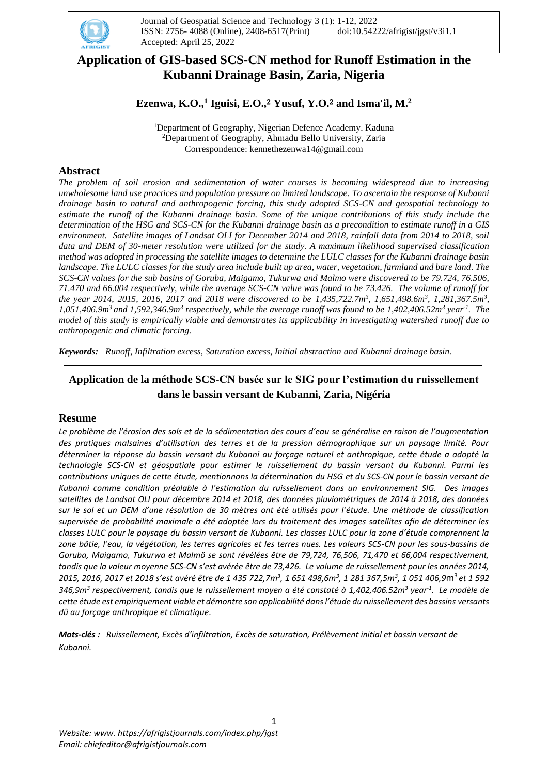

# **Application of GIS-based SCS-CN method for Runoff Estimation in the Kubanni Drainage Basin, Zaria, Nigeria**

## **Ezenwa, K.O.,<sup>1</sup> Iguisi, E.O.,**<sup>2</sup> **Yusuf, Y.O.**<sup>2</sup> **and Isma'il, M.<sup>2</sup>**

<sup>1</sup>Department of Geography, Nigerian Defence Academy. Kaduna <sup>2</sup>Department of Geography, Ahmadu Bello University, Zaria Correspondence: [kennethezenwa14@gmail.com](mailto:kennethezenwa14@gmail.com)

### **Abstract**

*The problem of soil erosion and sedimentation of water courses is becoming widespread due to increasing unwholesome land use practices and population pressure on limited landscape. To ascertain the response of Kubanni drainage basin to natural and anthropogenic forcing, this study adopted SCS-CN and geospatial technology to estimate the runoff of the Kubanni drainage basin. Some of the unique contributions of this study include the determination of the HSG and SCS-CN for the Kubanni drainage basin as a precondition to estimate runoff in a GIS environment. Satellite images of Landsat OLI for December 2014 and 2018, rainfall data from 2014 to 2018, soil data and DEM of 30-meter resolution were utilized for the study. A maximum likelihood supervised classification method was adopted in processing the satellite images to determine the LULC classes for the Kubanni drainage basin*  landscape. The LULC classes for the study area include built up area, water, vegetation, farmland and bare land. The *SCS-CN values for the sub basins of Goruba, Maigamo, Tukurwa and Malmo were discovered to be 79.724, 76.506, 71.470 and 66.004 respectively, while the average SCS-CN value was found to be 73.426. The volume of runoff for the year 2014, 2015, 2016, 2017 and 2018 were discovered to be 1,435,722.7m<sup>3</sup> , 1,651,498.6m<sup>3</sup> , 1,281,367.5m<sup>3</sup> , 1,051,406.9m<sup>3</sup>and 1,592,346.9m<sup>3</sup> respectively, while the average runoff was found to be 1,402,406.52m<sup>3</sup> year-1 . The model of this study is empirically viable and demonstrates its applicability in investigating watershed runoff due to anthropogenic and climatic forcing.*

*Keywords: Runoff, Infiltration excess, Saturation excess, Initial abstraction and Kubanni drainage basin.*

## **Application de la méthode SCS-CN basée sur le SIG pour l'estimation du ruissellement dans le bassin versant de Kubanni, Zaria, Nigéria**

### **Resume**

*Le problème de l'érosion des sols et de la sédimentation des cours d'eau se généralise en raison de l'augmentation des pratiques malsaines d'utilisation des terres et de la pression démographique sur un paysage limité. Pour déterminer la réponse du bassin versant du Kubanni au forçage naturel et anthropique, cette étude a adopté la technologie SCS-CN et géospatiale pour estimer le ruissellement du bassin versant du Kubanni. Parmi les contributions uniques de cette étude, mentionnons la détermination du HSG et du SCS-CN pour le bassin versant de Kubanni comme condition préalable à l'estimation du ruissellement dans un environnement SIG. Des images satellites de Landsat OLI pour décembre 2014 et 2018, des données pluviométriques de 2014 à 2018, des données sur le sol et un DEM d'une résolution de 30 mètres ont été utilisés pour l'étude. Une méthode de classification supervisée de probabilité maximale a été adoptée lors du traitement des images satellites afin de déterminer les classes LULC pour le paysage du bassin versant de Kubanni. Les classes LULC pour la zone d'étude comprennent la zone bâtie, l'eau, la végétation, les terres agricoles et les terres nues. Les valeurs SCS-CN pour les sous-bassins de Goruba, Maigamo, Tukurwa et Malmö se sont révélées être de 79,724, 76,506, 71,470 et 66,004 respectivement, tandis que la valeur moyenne SCS-CN s'est avérée être de 73,426. Le volume de ruissellement pour les années 2014, 2015, 2016, 2017 et 2018 s'est avéré être de 1 435 722,7m<sup>3</sup> , 1 651 498,6m<sup>3</sup> , 1 281 367,5m<sup>3</sup> , 1 051 406,9*m<sup>3</sup> *et 1 592 346,9m<sup>3</sup> respectivement, tandis que le ruissellement moyen a été constaté à 1,402,406.52m<sup>3</sup> year-1 . Le modèle de cette étude est empiriquement viable et démontre son applicabilité dans l'étude du ruissellement des bassins versants dû au forçage anthropique et climatique.*

*Mots-clés : Ruissellement, Excès d'infiltration, Excès de saturation, Prélèvement initial et bassin versant de Kubanni.*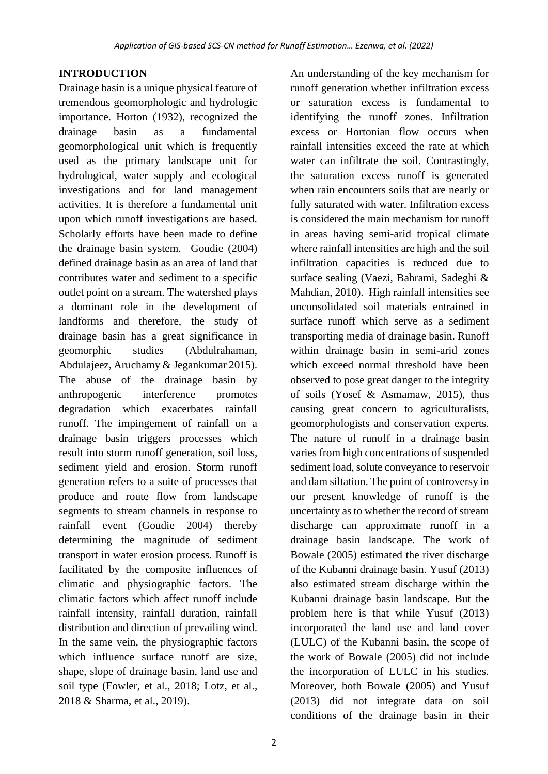# **INTRODUCTION**

Drainage basin is a unique physical feature of tremendous geomorphologic and hydrologic importance. Horton (1932), recognized the drainage basin as a fundamental geomorphological unit which is frequently used as the primary landscape unit for hydrological, water supply and ecological investigations and for land management activities. It is therefore a fundamental unit upon which runoff investigations are based. Scholarly efforts have been made to define the drainage basin system. Goudie (2004) defined drainage basin as an area of land that contributes water and sediment to a specific outlet point on a stream. The watershed plays a dominant role in the development of landforms and therefore, the study of drainage basin has a great significance in geomorphic studies (Abdulrahaman, Abdulajeez, Aruchamy & Jegankumar 2015). The abuse of the drainage basin by anthropogenic interference promotes degradation which exacerbates rainfall runoff. The impingement of rainfall on a drainage basin triggers processes which result into storm runoff generation, soil loss, sediment yield and erosion. Storm runoff generation refers to a suite of processes that produce and route flow from landscape segments to stream channels in response to rainfall event (Goudie 2004) thereby determining the magnitude of sediment transport in water erosion process. Runoff is facilitated by the composite influences of climatic and physiographic factors. The climatic factors which affect runoff include rainfall intensity, rainfall duration, rainfall distribution and direction of prevailing wind. In the same vein, the physiographic factors which influence surface runoff are size. shape, slope of drainage basin, land use and soil type (Fowler, et al., 2018; Lotz, et al., 2018 & Sharma, et al., 2019).

An understanding of the key mechanism for runoff generation whether infiltration excess or saturation excess is fundamental to identifying the runoff zones. Infiltration excess or Hortonian flow occurs when rainfall intensities exceed the rate at which water can infiltrate the soil. Contrastingly, the saturation excess runoff is generated when rain encounters soils that are nearly or fully saturated with water. Infiltration excess is considered the main mechanism for runoff in areas having semi-arid tropical climate where rainfall intensities are high and the soil infiltration capacities is reduced due to surface sealing (Vaezi, Bahrami, Sadeghi & Mahdian, 2010). High rainfall intensities see unconsolidated soil materials entrained in surface runoff which serve as a sediment transporting media of drainage basin. Runoff within drainage basin in semi-arid zones which exceed normal threshold have been observed to pose great danger to the integrity of soils (Yosef & Asmamaw, 2015), thus causing great concern to agriculturalists, geomorphologists and conservation experts. The nature of runoff in a drainage basin varies from high concentrations of suspended sediment load, solute conveyance to reservoir and dam siltation. The point of controversy in our present knowledge of runoff is the uncertainty as to whether the record of stream discharge can approximate runoff in a drainage basin landscape. The work of Bowale (2005) estimated the river discharge of the Kubanni drainage basin. Yusuf (2013) also estimated stream discharge within the Kubanni drainage basin landscape. But the problem here is that while Yusuf (2013) incorporated the land use and land cover (LULC) of the Kubanni basin, the scope of the work of Bowale (2005) did not include the incorporation of LULC in his studies. Moreover, both Bowale (2005) and Yusuf (2013) did not integrate data on soil conditions of the drainage basin in their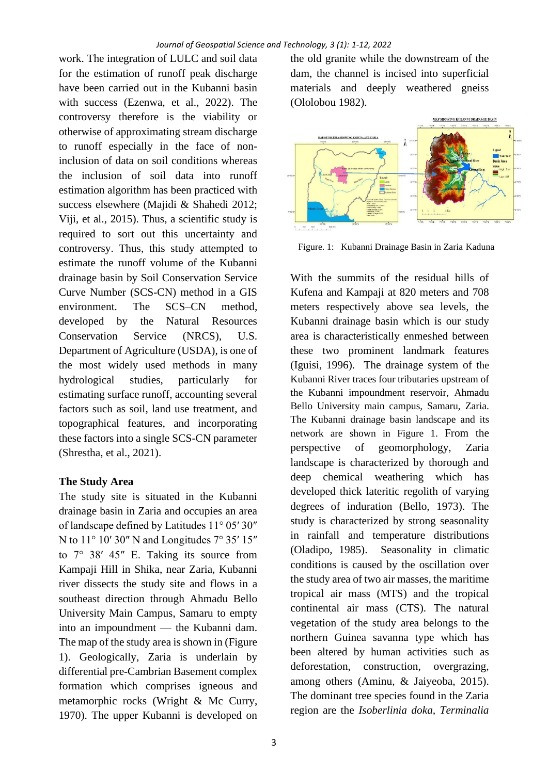work. The integration of LULC and soil data for the estimation of runoff peak discharge have been carried out in the Kubanni basin with success (Ezenwa, et al., 2022). The controversy therefore is the viability or otherwise of approximating stream discharge to runoff especially in the face of noninclusion of data on soil conditions whereas the inclusion of soil data into runoff estimation algorithm has been practiced with success elsewhere (Majidi & Shahedi 2012; Viji, et al., 2015). Thus, a scientific study is required to sort out this uncertainty and controversy. Thus, this study attempted to estimate the runoff volume of the Kubanni drainage basin by Soil Conservation Service Curve Number (SCS-CN) method in a GIS environment. The SCS–CN method, developed by the Natural Resources Conservation Service (NRCS), U.S. Department of Agriculture (USDA), is one of the most widely used methods in many hydrological studies, particularly for estimating surface runoff, accounting several factors such as soil, land use treatment, and topographical features, and incorporating these factors into a single SCS-CN parameter (Shrestha, et al., 2021).

# **The Study Area**

The study site is situated in the Kubanni drainage basin in Zaria and occupies an area of landscape defined by Latitudes 11° 05′ 30″ N to  $11^{\circ}$  10' 30" N and Longitudes  $7^{\circ}$  35' 15" to  $7^{\circ}$  38′ 45″ E. Taking its source from Kampaji Hill in Shika, near Zaria, Kubanni river dissects the study site and flows in a southeast direction through Ahmadu Bello University Main Campus, Samaru to empty into an impoundment — the Kubanni dam. The map of the study area is shown in (Figure 1). Geologically, Zaria is underlain by differential pre-Cambrian Basement complex formation which comprises igneous and metamorphic rocks (Wright & Mc Curry, 1970). The upper Kubanni is developed on

the old granite while the downstream of the dam, the channel is incised into superficial materials and deeply weathered gneiss (Ololobou 1982).



Figure. 1: Kubanni Drainage Basin in Zaria Kaduna

With the summits of the residual hills of Kufena and Kampaji at 820 meters and 708 meters respectively above sea levels, the Kubanni drainage basin which is our study area is characteristically enmeshed between these two prominent landmark features (Iguisi, 1996). The drainage system of the Kubanni River traces four tributaries upstream of the Kubanni impoundment reservoir, Ahmadu Bello University main campus, Samaru, Zaria. The Kubanni drainage basin landscape and its network are shown in Figure 1. From the perspective of geomorphology, Zaria landscape is characterized by thorough and deep chemical weathering which has developed thick lateritic regolith of varying degrees of induration (Bello, 1973). The study is characterized by strong seasonality in rainfall and temperature distributions (Oladipo, 1985). Seasonality in climatic conditions is caused by the oscillation over the study area of two air masses, the maritime tropical air mass (MTS) and the tropical continental air mass (CTS). The natural vegetation of the study area belongs to the northern Guinea savanna type which has been altered by human activities such as deforestation, construction, overgrazing, among others (Aminu, & Jaiyeoba, 2015). The dominant tree species found in the Zaria region are the *Isoberlinia doka, Terminalia*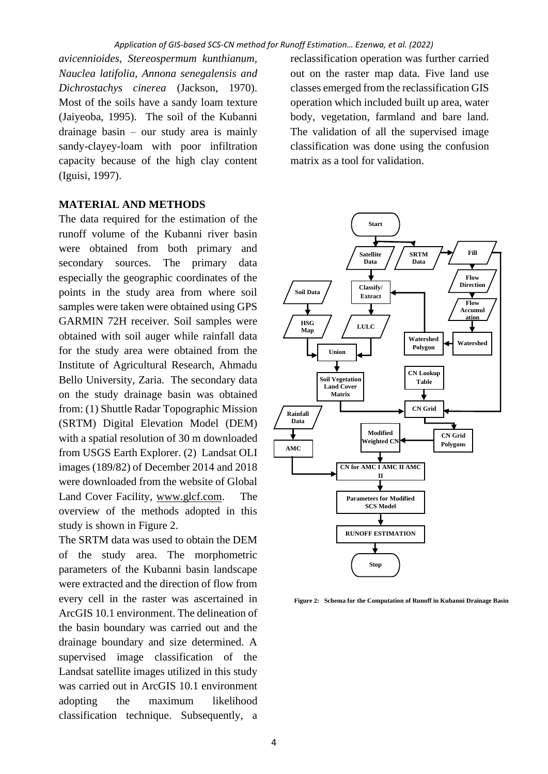*avicennioides, Stereospermum kunthianum, Nauclea latifolia, Annona senegalensis and Dichrostachys cinerea* (Jackson, 1970). Most of the soils have a sandy loam texture (Jaiyeoba, 1995). The soil of the Kubanni drainage basin – our study area is mainly sandy-clayey-loam with poor infiltration capacity because of the high clay content (Iguisi, 1997).

#### **MATERIAL AND METHODS**

The data required for the estimation of the runoff volume of the Kubanni river basin were obtained from both primary and secondary sources. The primary data especially the geographic coordinates of the points in the study area from where soil samples were taken were obtained using GPS GARMIN 72H receiver. Soil samples were obtained with soil auger while rainfall data for the study area were obtained from the Institute of Agricultural Research, Ahmadu Bello University, Zaria. The secondary data on the study drainage basin was obtained from: (1) Shuttle Radar Topographic Mission (SRTM) Digital Elevation Model (DEM) with a spatial resolution of 30 m downloaded from USGS Earth Explorer. (2) Landsat OLI images (189/82) of December 2014 and 2018 were downloaded from the website of Global Land Cover Facility, [www.glcf.com.](http://www.glcf.com/) The overview of the methods adopted in this study is shown in Figure 2.

The SRTM data was used to obtain the DEM of the study area. The morphometric parameters of the Kubanni basin landscape were extracted and the direction of flow from every cell in the raster was ascertained in ArcGIS 10.1 environment. The delineation of the basin boundary was carried out and the drainage boundary and size determined. A supervised image classification of the Landsat satellite images utilized in this study was carried out in ArcGIS 10.1 environment adopting the maximum likelihood classification technique. Subsequently, a

reclassification operation was further carried out on the raster map data. Five land use classes emerged from the reclassification GIS operation which included built up area, water body, vegetation, farmland and bare land. The validation of all the supervised image classification was done using the confusion matrix as a tool for validation.



**Figure 2: Schema for the Computation of Runoff in Kubanni Drainage Basin**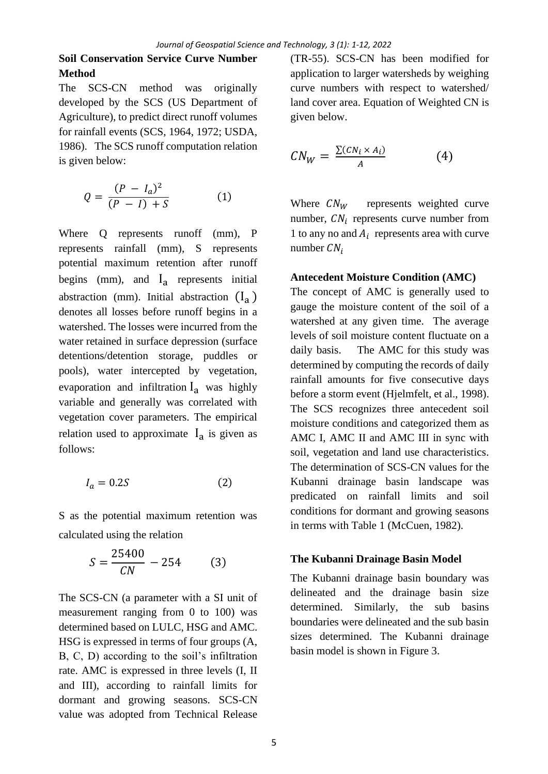## **Soil Conservation Service Curve Number Method**

The SCS-CN method was originally developed by the SCS (US Department of Agriculture), to predict direct runoff volumes for rainfall events (SCS, 1964, 1972; USDA, 1986). The SCS runoff computation relation is given below:

$$
Q = \frac{(P - I_a)^2}{(P - I) + S} \tag{1}
$$

Where Q represents runoff (mm), P represents rainfall (mm), S represents potential maximum retention after runoff begins (mm), and  $I_a$  represents initial abstraction (mm). Initial abstraction  $(I_a)$ denotes all losses before runoff begins in a watershed. The losses were incurred from the water retained in surface depression (surface detentions/detention storage, puddles or pools), water intercepted by vegetation, evaporation and infiltration  $I_a$  was highly variable and generally was correlated with vegetation cover parameters. The empirical relation used to approximate  $I_a$  is given as follows:

$$
I_a = 0.2S \tag{2}
$$

S as the potential maximum retention was calculated using the relation

$$
S = \frac{25400}{CN} - 254
$$
 (3)

The SCS-CN (a parameter with a SI unit of measurement ranging from 0 to 100) was determined based on LULC, HSG and AMC. HSG is expressed in terms of four groups (A, B, C, D) according to the soil's infiltration rate. AMC is expressed in three levels (I, II and III), according to rainfall limits for dormant and growing seasons. SCS-CN value was adopted from Technical Release (TR-55). SCS-CN has been modified for application to larger watersheds by weighing curve numbers with respect to watershed/ land cover area. Equation of Weighted CN is given below.

$$
CN_W = \frac{\sum (CN_i \times A_i)}{A} \tag{4}
$$

Where  $CN_W$  represents weighted curve number,  $CN_i$  represents curve number from 1 to any no and  $A_i$  represents area with curve number  $CN_i$ 

### **Antecedent Moisture Condition (AMC)**

The concept of AMC is generally used to gauge the moisture content of the soil of a watershed at any given time. The average levels of soil moisture content fluctuate on a daily basis. The AMC for this study was determined by computing the records of daily rainfall amounts for five consecutive days before a storm event (Hjelmfelt, et al., 1998). The SCS recognizes three antecedent soil moisture conditions and categorized them as AMC I, AMC II and AMC III in sync with soil, vegetation and land use characteristics. The determination of SCS-CN values for the Kubanni drainage basin landscape was predicated on rainfall limits and soil conditions for dormant and growing seasons in terms with Table 1 (McCuen, 1982).

#### **The Kubanni Drainage Basin Model**

The Kubanni drainage basin boundary was delineated and the drainage basin size determined. Similarly, the sub basins boundaries were delineated and the sub basin sizes determined. The Kubanni drainage basin model is shown in Figure 3.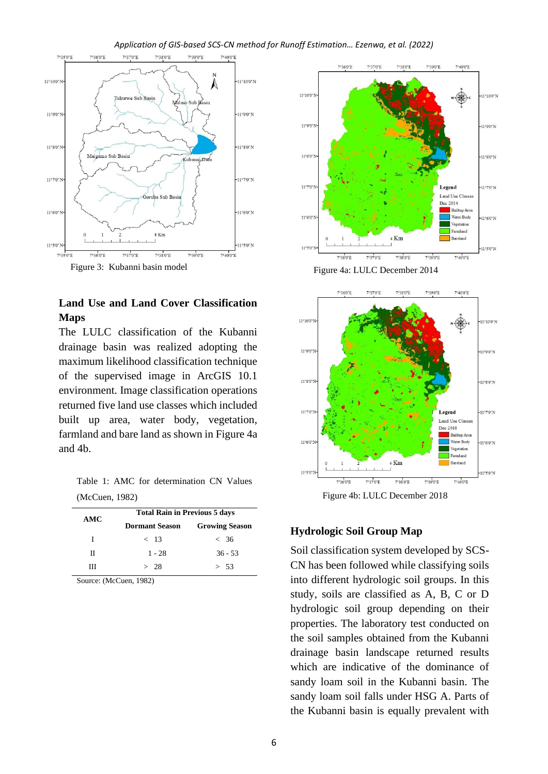#### *Application of GIS-based SCS-CN method for Runoff Estimation… Ezenwa, et al. (2022)*



### **Land Use and Land Cover Classification Maps**

The LULC classification of the Kubanni drainage basin was realized adopting the maximum likelihood classification technique of the supervised image in ArcGIS 10.1 environment. Image classification operations returned five land use classes which included built up area, water body, vegetation, farmland and bare land as shown in Figure 4a and 4b.

Table 1: AMC for determination CN Values (McCuen, 1982)

|     | <b>Total Rain in Previous 5 days</b> |                       |  |  |
|-----|--------------------------------------|-----------------------|--|--|
| AMC | <b>Dormant Season</b>                | <b>Growing Season</b> |  |  |
| Т   | $<$ 13                               | < 36                  |  |  |
| П   | $1 - 28$                             | $36 - 53$             |  |  |
| ш   | > 28                                 | > 53                  |  |  |

Source: (McCuen, 1982)



Figure 4a: LULC December 2014



Figure 4b: LULC December 2018

### **Hydrologic Soil Group Map**

Soil classification system developed by SCS-CN has been followed while classifying soils into different hydrologic soil groups. In this study, soils are classified as A, B, C or D hydrologic soil group depending on their properties. The laboratory test conducted on the soil samples obtained from the Kubanni drainage basin landscape returned results which are indicative of the dominance of sandy loam soil in the Kubanni basin. The sandy loam soil falls under HSG A. Parts of the Kubanni basin is equally prevalent with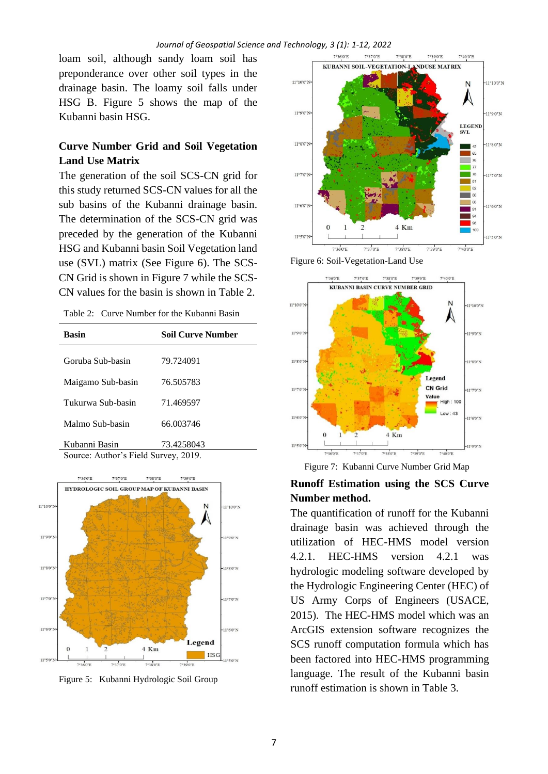loam soil, although sandy loam soil has preponderance over other soil types in the drainage basin. The loamy soil falls under HSG B. Figure 5 shows the map of the Kubanni basin HSG.

## **Curve Number Grid and Soil Vegetation Land Use Matrix**

The generation of the soil SCS-CN grid for this study returned SCS-CN values for all the sub basins of the Kubanni drainage basin. The determination of the SCS-CN grid was preceded by the generation of the Kubanni HSG and Kubanni basin Soil Vegetation land use (SVL) matrix (See Figure 6). The SCS-CN Grid is shown in Figure 7 while the SCS-CN values for the basin is shown in Table 2.

| <b>Basin</b>                    | Soil Curve Number |
|---------------------------------|-------------------|
| Goruba Sub-basin                | 79.724091         |
| Maigamo Sub-basin               | 76.505783         |
| Tukurwa Sub-basin               | 71.469597         |
| Malmo Sub-basin                 | 66.003746         |
| Kubanni Basin<br>$\blacksquare$ | 73,4258043        |





Figure 5: Kubanni Hydrologic Soil Group



Figure 6: Soil-Vegetation-Land Use



Figure 7: Kubanni Curve Number Grid Map

## **Runoff Estimation using the SCS Curve Number method.**

The quantification of runoff for the Kubanni drainage basin was achieved through the utilization of HEC-HMS model version 4.2.1. HEC-HMS version 4.2.1 was hydrologic modeling software developed by the Hydrologic Engineering Center (HEC) of US Army Corps of Engineers (USACE, 2015). The HEC-HMS model which was an ArcGIS extension software recognizes the SCS runoff computation formula which has been factored into HEC-HMS programming language. The result of the Kubanni basin runoff estimation is shown in Table 3.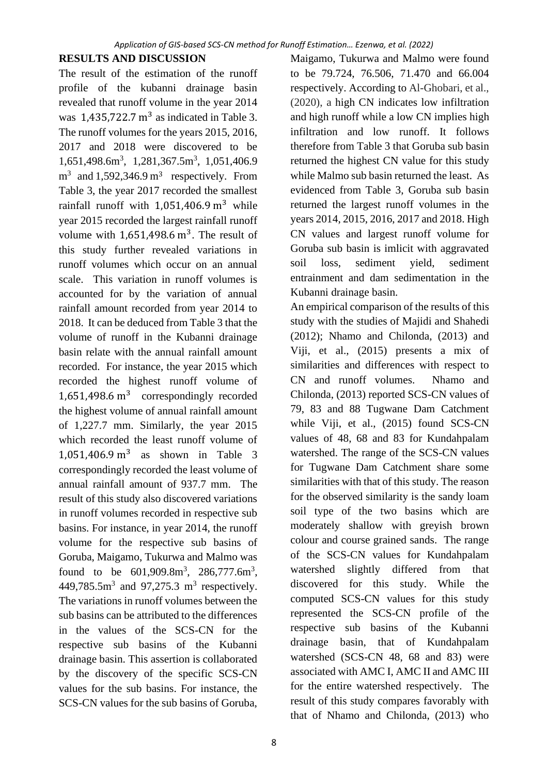## **RESULTS AND DISCUSSION**

The result of the estimation of the runoff profile of the kubanni drainage basin revealed that runoff volume in the year 2014 was  $1,435,722.7 \text{ m}^3$  as indicated in Table 3. The runoff volumes for the years 2015, 2016, 2017 and 2018 were discovered to be 1,651,498.6m<sup>3</sup>, 1,281,367.5m<sup>3</sup>, 1,051,406.9  $m<sup>3</sup>$  and 1,592,346.9  $m<sup>3</sup>$  respectively. From Table 3, the year 2017 recorded the smallest rainfall runoff with  $1,051,406.9$  m<sup>3</sup> while year 2015 recorded the largest rainfall runoff volume with  $1,651,498.6 \text{ m}^3$ . The result of this study further revealed variations in runoff volumes which occur on an annual scale. This variation in runoff volumes is accounted for by the variation of annual rainfall amount recorded from year 2014 to 2018. It can be deduced from Table 3 that the volume of runoff in the Kubanni drainage basin relate with the annual rainfall amount recorded. For instance, the year 2015 which recorded the highest runoff volume of 1,651,498.6 m<sup>3</sup> correspondingly recorded the highest volume of annual rainfall amount of 1,227.7 mm. Similarly, the year 2015 which recorded the least runoff volume of  $1,051,406.9 \text{ m}^3$  as shown in Table 3 correspondingly recorded the least volume of annual rainfall amount of 937.7 mm. The result of this study also discovered variations in runoff volumes recorded in respective sub basins. For instance, in year 2014, the runoff volume for the respective sub basins of Goruba, Maigamo, Tukurwa and Malmo was found to be  $601,909.8m^3$ ,  $286,777.6m^3$ , 449,785.5 $\text{m}^3$  and 97,275.3  $\text{m}^3$  respectively. The variations in runoff volumes between the sub basins can be attributed to the differences in the values of the SCS-CN for the respective sub basins of the Kubanni drainage basin. This assertion is collaborated by the discovery of the specific SCS-CN values for the sub basins. For instance, the SCS-CN values for the sub basins of Goruba, Maigamo, Tukurwa and Malmo were found to be 79.724, 76.506, 71.470 and 66.004 respectively. According to Al-Ghobari, et al., (2020), a high CN indicates low infiltration and high runoff while a low CN implies high infiltration and low runoff. It follows therefore from Table 3 that Goruba sub basin returned the highest CN value for this study while Malmo sub basin returned the least. As evidenced from Table 3, Goruba sub basin returned the largest runoff volumes in the years 2014, 2015, 2016, 2017 and 2018. High CN values and largest runoff volume for Goruba sub basin is imlicit with aggravated soil loss, sediment yield, sediment entrainment and dam sedimentation in the Kubanni drainage basin.

An empirical comparison of the results of this study with the studies of Majidi and Shahedi (2012); Nhamo and Chilonda, (2013) and Viji, et al., (2015) presents a mix of similarities and differences with respect to CN and runoff volumes. Nhamo and Chilonda, (2013) reported SCS-CN values of 79, 83 and 88 Tugwane Dam Catchment while Viji, et al., (2015) found SCS-CN values of 48, 68 and 83 for Kundahpalam watershed. The range of the SCS-CN values for Tugwane Dam Catchment share some similarities with that of this study. The reason for the observed similarity is the sandy loam soil type of the two basins which are moderately shallow with greyish brown colour and course grained sands. The range of the SCS-CN values for Kundahpalam watershed slightly differed from that discovered for this study. While the computed SCS-CN values for this study represented the SCS-CN profile of the respective sub basins of the Kubanni drainage basin, that of Kundahpalam watershed (SCS-CN 48, 68 and 83) were associated with AMC I, AMC II and AMC III for the entire watershed respectively. The result of this study compares favorably with that of Nhamo and Chilonda, (2013) who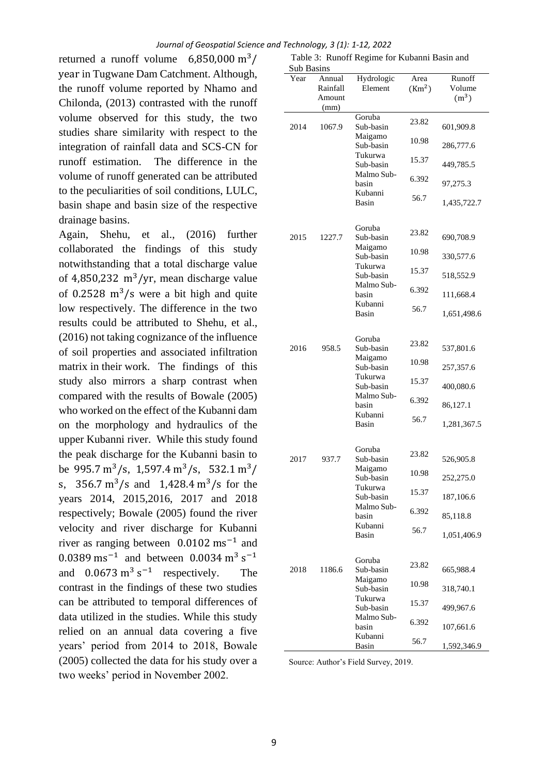returned a runoff volume  $6,850,000 \text{ m}^3$ year in Tugwane Dam Catchment. Although, the runoff volume reported by Nhamo and Chilonda, (2013) contrasted with the runoff volume observed for this study, the two studies share similarity with respect to the integration of rainfall data and SCS-CN for runoff estimation. The difference in the volume of runoff generated can be attributed to the peculiarities of soil conditions, LULC, basin shape and basin size of the respective drainage basins.

Again, Shehu, et al., (2016) further collaborated the findings of this study notwithstanding that a total discharge value of 4,850,232  $\text{m}^3/\text{yr}$ , mean discharge value of 0.2528  $\text{m}^3/\text{s}$  were a bit high and quite low respectively. The difference in the two results could be attributed to Shehu, et al., (2016) not taking cognizance of the influence of soil properties and associated infiltration matrix in their work. The findings of this study also mirrors a sharp contrast when compared with the results of Bowale (2005) who worked on the effect of the Kubanni dam on the morphology and hydraulics of the upper Kubanni river. While this study found the peak discharge for the Kubanni basin to be 995.7 m<sup>3</sup>/s, 1,597.4 m<sup>3</sup>/s, 532.1 m<sup>3</sup>/ s,  $356.7 \text{ m}^3/\text{s}$  and  $1,428.4 \text{ m}^3/\text{s}$  for the years 2014, 2015,2016, 2017 and 2018 respectively; Bowale (2005) found the river velocity and river discharge for Kubanni river as ranging between  $0.0102 \text{ ms}^{-1}$  and 0.0389 ms<sup>-1</sup> and between 0.0034 m<sup>3</sup> s<sup>-1</sup> and  $0.0673 \text{ m}^3 \text{ s}^{-1}$  respectively. The contrast in the findings of these two studies can be attributed to temporal differences of data utilized in the studies. While this study relied on an annual data covering a five years' period from 2014 to 2018, Bowale (2005) collected the data for his study over a two weeks' period in November 2002.

| Sub Basins |                    |                                    |                            |                   |  |  |
|------------|--------------------|------------------------------------|----------------------------|-------------------|--|--|
| Year       | Annual<br>Rainfall | Hydrologic<br>Element              | Area<br>(Km <sup>2</sup> ) | Runoff<br>Volume  |  |  |
|            | Amount<br>(mm)     |                                    |                            | (m <sup>3</sup> ) |  |  |
| 2014       | 1067.9             | Goruba<br>Sub-basin<br>Maigamo     | 23.82                      | 601,909.8         |  |  |
|            |                    | Sub-basin                          | 10.98                      | 286,777.6         |  |  |
|            |                    | Tukurwa<br>Sub-basin               | 15.37                      | 449,785.5         |  |  |
|            |                    | Malmo Sub-<br>basin                | 6.392                      | 97,275.3          |  |  |
|            |                    | Kubanni<br>Basin                   | 56.7                       | 1,435,722.7       |  |  |
| 2015       | 1227.7             | Goruba<br>Sub-basin                | 23.82                      | 690,708.9         |  |  |
|            |                    | Maigamo<br>Sub-basin               | 10.98                      | 330,577.6         |  |  |
|            |                    | Tukurwa<br>Sub-basin<br>Malmo Sub- | 15.37                      | 518,552.9         |  |  |
|            |                    | basin                              | 6.392                      | 111,668.4         |  |  |
|            |                    | Kubanni<br>Basin                   | 56.7                       | 1,651,498.6       |  |  |
| 2016       | 958.5              | Goruba<br>Sub-basin                | 23.82                      | 537,801.6         |  |  |
|            |                    | Maigamo<br>Sub-basin               | 10.98                      | 257,357.6         |  |  |
|            |                    | Tukurwa<br>Sub-basin               | 15.37                      | 400,080.6         |  |  |
|            |                    | Malmo Sub-<br>basin                | 6.392                      | 86,127.1          |  |  |
|            |                    | Kubanni<br>Basin                   | 56.7                       | 1,281,367.5       |  |  |
| 2017       | 937.7              | Goruba<br>Sub-basin                | 23.82                      | 526,905.8         |  |  |
|            |                    | Maigamo<br>Sub-basin               | 10.98                      | 252,275.0         |  |  |
|            |                    | Tukurwa<br>Sub-basin               | 15.37                      | 187,106.6         |  |  |
|            |                    | Malmo Sub-<br>basin                | 6.392                      | 85,118.8          |  |  |
|            |                    | Kubanni<br>Basin                   | 56.7                       | 1,051,406.9       |  |  |
| 2018       | 1186.6             | Goruba<br>Sub-basin                | 23.82                      | 665,988.4         |  |  |
|            |                    | Maigamo<br>Sub-basin               | 10.98                      | 318,740.1         |  |  |
|            |                    | Tukurwa<br>Sub-basin               | 15.37                      | 499,967.6         |  |  |
|            |                    | Malmo Sub-<br>basin                | 6.392                      | 107,661.6         |  |  |
|            |                    | Kubanni<br>Basin                   | 56.7                       | 1,592,346.9       |  |  |

Table 3: Runoff Regime for Kubanni Basin and

Source: Author's Field Survey, 2019.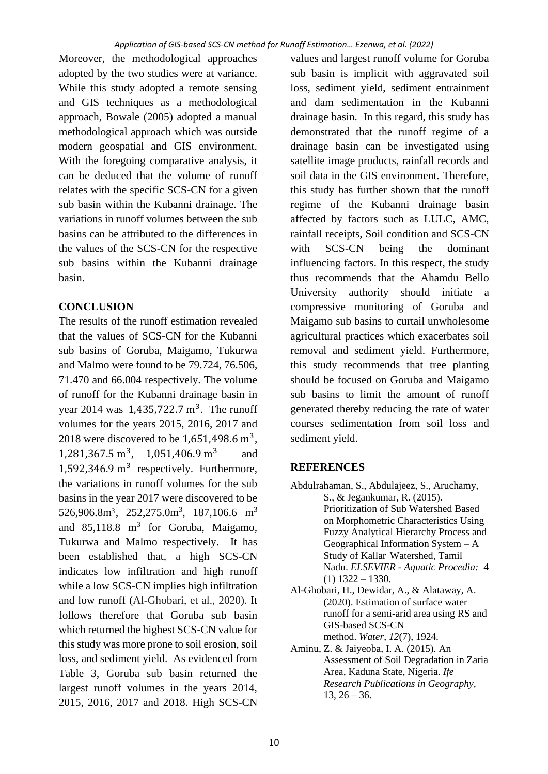Moreover, the methodological approaches adopted by the two studies were at variance. While this study adopted a remote sensing and GIS techniques as a methodological approach, Bowale (2005) adopted a manual methodological approach which was outside modern geospatial and GIS environment. With the foregoing comparative analysis, it can be deduced that the volume of runoff relates with the specific SCS-CN for a given sub basin within the Kubanni drainage. The variations in runoff volumes between the sub basins can be attributed to the differences in the values of the SCS-CN for the respective sub basins within the Kubanni drainage basin.

# **CONCLUSION**

The results of the runoff estimation revealed that the values of SCS-CN for the Kubanni sub basins of Goruba, Maigamo, Tukurwa and Malmo were found to be 79.724, 76.506, 71.470 and 66.004 respectively. The volume of runoff for the Kubanni drainage basin in year 2014 was  $1,435,722.7 \text{ m}^3$ . The runoff volumes for the years 2015, 2016, 2017 and 2018 were discovered to be  $1,651,498.6 \text{ m}^3$ ,  $1,281,367.5 \text{ m}^3$ ,  $1,051,406.9 \text{ m}^3$  and 1,592,346.9 m<sup>3</sup> respectively. Furthermore, the variations in runoff volumes for the sub basins in the year 2017 were discovered to be  $526,906.8m^3$ ,  $252,275.0m^3$ ,  $187,106.6$  m<sup>3</sup> and  $85,118.8$  m<sup>3</sup> for Goruba, Maigamo, Tukurwa and Malmo respectively. It has been established that, a high SCS-CN indicates low infiltration and high runoff while a low SCS-CN implies high infiltration and low runoff (Al-Ghobari, et al., 2020). It follows therefore that Goruba sub basin which returned the highest SCS-CN value for this study was more prone to soil erosion, soil loss, and sediment yield. As evidenced from Table 3, Goruba sub basin returned the largest runoff volumes in the years 2014, 2015, 2016, 2017 and 2018. High SCS-CN

values and largest runoff volume for Goruba sub basin is implicit with aggravated soil loss, sediment yield, sediment entrainment and dam sedimentation in the Kubanni drainage basin. In this regard, this study has demonstrated that the runoff regime of a drainage basin can be investigated using satellite image products, rainfall records and soil data in the GIS environment. Therefore, this study has further shown that the runoff regime of the Kubanni drainage basin affected by factors such as LULC, AMC, rainfall receipts, Soil condition and SCS-CN with SCS-CN being the dominant influencing factors. In this respect, the study thus recommends that the Ahamdu Bello University authority should initiate a compressive monitoring of Goruba and Maigamo sub basins to curtail unwholesome agricultural practices which exacerbates soil removal and sediment yield. Furthermore, this study recommends that tree planting should be focused on Goruba and Maigamo sub basins to limit the amount of runoff generated thereby reducing the rate of water courses sedimentation from soil loss and sediment yield.

# **REFERENCES**

- Abdulrahaman, S., Abdulajeez, S., Aruchamy, S., & Jegankumar, R. (2015). Prioritization of Sub Watershed Based on Morphometric Characteristics Using Fuzzy Analytical Hierarchy Process and Geographical Information System – A Study of Kallar Watershed, Tamil Nadu. *ELSEVIER - Aquatic Procedia:* 4  $(1)$  1322 – 1330.
- Al-Ghobari, H., Dewidar, A., & Alataway, A. (2020). Estimation of surface water runoff for a semi-arid area using RS and GIS-based SCS-CN method. *Water*, *12*(7), 1924.
- Aminu, Z. & Jaiyeoba, I. A. (2015). An Assessment of Soil Degradation in Zaria Area, Kaduna State, Nigeria. *Ife Research Publications in Geography,*  $13, 26 - 36.$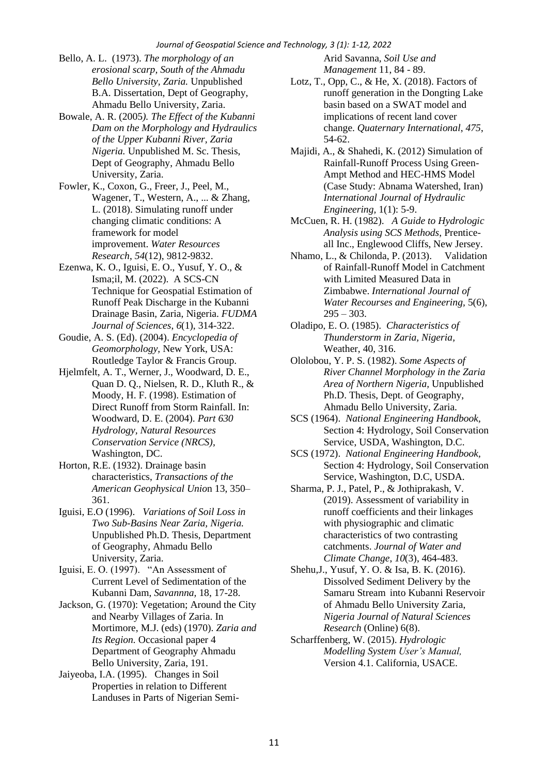- Bello, A. L. (1973). *The morphology of an erosional scarp, South of the Ahmadu Bello University, Zaria.* Unpublished B.A. Dissertation, Dept of Geography, Ahmadu Bello University, Zaria.
- Bowale, A. R. (2005*). The Effect of the Kubanni Dam on the Morphology and Hydraulics of the Upper Kubanni River, Zaria Nigeria.* Unpublished M. Sc. Thesis, Dept of Geography, Ahmadu Bello University, Zaria.
- Fowler, K., Coxon, G., Freer, J., Peel, M., Wagener, T., Western, A., ... & Zhang, L. (2018). Simulating runoff under changing climatic conditions: A framework for model improvement. *Water Resources Research*, *54*(12), 9812-9832.
- Ezenwa, K. O., Iguisi, E. O., Yusuf, Y. O., & Isma;il, M. (2022). A SCS-CN Technique for Geospatial Estimation of Runoff Peak Discharge in the Kubanni Drainage Basin, Zaria, Nigeria. *FUDMA Journal of Sciences*, *6*(1), 314-322.
- Goudie, A. S. (Ed). (2004). *Encyclopedia of Geomorphology,* New York, USA: Routledge Taylor & Francis Group.
- Hjelmfelt, A. T., Werner, J., Woodward, D. E., Quan D. Q., Nielsen, R. D., Kluth R., & Moody, H. F. (1998). Estimation of Direct Runoff from Storm Rainfall. In: Woodward, D. E. (2004). *Part 630 Hydrology, Natural Resources Conservation Service (NRCS),* Washington, DC.
- Horton, R.E. (1932). Drainage basin characteristics, *Transactions of the American Geophysical Unio*n 13, 350– 361.
- Iguisi, E.O (1996). *Variations of Soil Loss in Two Sub-Basins Near Zaria, Nigeria.* Unpublished Ph.D. Thesis, Department of Geography, Ahmadu Bello University, Zaria.
- Iguisi, E. O. (1997). "An Assessment of Current Level of Sedimentation of the Kubanni Dam, *Savannna,* 18, 17-28.
- Jackson, G. (1970): Vegetation; Around the City and Nearby Villages of Zaria. In Mortimore, M.J. (eds) (1970). *Zaria and Its Region.* Occasional paper 4 Department of Geography Ahmadu Bello University, Zaria, 191.
- Jaiyeoba, I.A. (1995). Changes in Soil Properties in relation to Different Landuses in Parts of Nigerian Semi-

Arid Savanna*, Soil Use and Management* 11, 84 - 89.

- Lotz, T., Opp, C., & He, X. (2018). Factors of runoff generation in the Dongting Lake basin based on a SWAT model and implications of recent land cover change. *Quaternary International*, *475*, 54-62.
- Majidi, A., & Shahedi, K. (2012) Simulation of Rainfall-Runoff Process Using Green-Ampt Method and HEC-HMS Model (Case Study: Abnama Watershed, Iran) *International Journal of Hydraulic Engineering,* 1(1): 5-9.
- McCuen, R. H. (1982). *A Guide to Hydrologic Analysis using SCS Methods*, Prenticeall Inc., Englewood Cliffs, New Jersey.
- Nhamo, L., & Chilonda, P. (2013). Validation of Rainfall-Runoff Model in Catchment with Limited Measured Data in Zimbabwe. *International Journal of Water Recourses and Engineering,* 5(6),  $295 - 303$ .
- Oladipo, E. O. (1985). *Characteristics of Thunderstorm in Zaria, Nigeria,* Weather, 40, 316.
- Ololobou, Y. P. S. (1982). *Some Aspects of River Channel Morphology in the Zaria Area of Northern Nigeria,* Unpublished Ph.D. Thesis, Dept. of Geography, Ahmadu Bello University, Zaria.
- SCS (1964). *National Engineering Handbook,* Section 4: Hydrology, Soil Conservation Service, USDA, Washington, D.C.
- SCS (1972). *National Engineering Handbook,* Section 4: Hydrology, Soil Conservation Service, Washington, D.C, USDA.
- Sharma, P. J., Patel, P., & Jothiprakash, V. (2019). Assessment of variability in runoff coefficients and their linkages with physiographic and climatic characteristics of two contrasting catchments. *Journal of Water and Climate Change*, *10*(3), 464-483.
- Shehu,J., Yusuf, Y. O. & Isa, B. K. (2016). Dissolved Sediment Delivery by the Samaru Stream into Kubanni Reservoir of Ahmadu Bello University Zaria, *Nigeria Journal of Natural Sciences Research* (Online) 6(8).
- Scharffenberg, W. (2015). *Hydrologic Modelling System User's Manual,* Version 4.1. California, USACE.